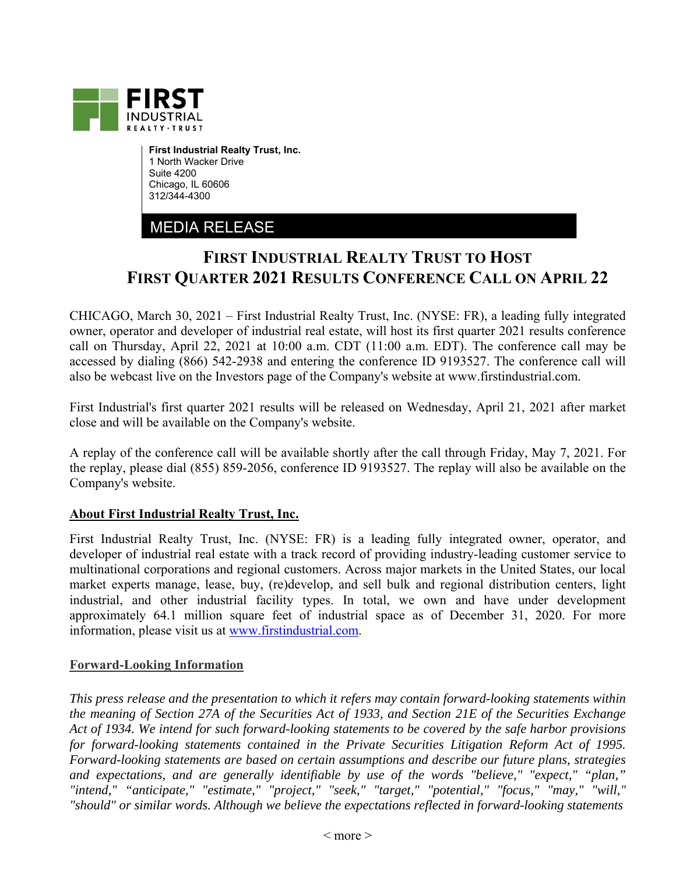

**First Industrial Realty Trust, Inc.**  1 North Wacker Drive Suite 4200 Chicago, IL 60606 312/344-4300

## MEDIA RELEASE

## **FIRST INDUSTRIAL REALTY TRUST TO HOST FIRST QUARTER 2021 RESULTS CONFERENCE CALL ON APRIL 22**

CHICAGO, March 30, 2021 – First Industrial Realty Trust, Inc. (NYSE: FR), a leading fully integrated owner, operator and developer of industrial real estate, will host its first quarter 2021 results conference call on Thursday, April 22, 2021 at 10:00 a.m. CDT (11:00 a.m. EDT). The conference call may be accessed by dialing (866) 542-2938 and entering the conference ID 9193527. The conference call will also be webcast live on the Investors page of the Company's website at www.firstindustrial.com.

First Industrial's first quarter 2021 results will be released on Wednesday, April 21, 2021 after market close and will be available on the Company's website.

A replay of the conference call will be available shortly after the call through Friday, May 7, 2021. For the replay, please dial (855) 859-2056, conference ID 9193527. The replay will also be available on the Company's website.

## **About First Industrial Realty Trust, Inc.**

First Industrial Realty Trust, Inc. (NYSE: FR) is a leading fully integrated owner, operator, and developer of industrial real estate with a track record of providing industry-leading customer service to multinational corporations and regional customers. Across major markets in the United States, our local market experts manage, lease, buy, (re)develop, and sell bulk and regional distribution centers, light industrial, and other industrial facility types. In total, we own and have under development approximately 64.1 million square feet of industrial space as of December 31, 2020. For more information, please visit us at www.firstindustrial.com.

## **Forward-Looking Information**

*This press release and the presentation to which it refers may contain forward-looking statements within the meaning of Section 27A of the Securities Act of 1933, and Section 21E of the Securities Exchange Act of 1934. We intend for such forward-looking statements to be covered by the safe harbor provisions for forward-looking statements contained in the Private Securities Litigation Reform Act of 1995. Forward-looking statements are based on certain assumptions and describe our future plans, strategies and expectations, and are generally identifiable by use of the words "believe," "expect," "plan," "intend," "anticipate," "estimate," "project," "seek," "target," "potential," "focus," "may," "will," "should" or similar words. Although we believe the expectations reflected in forward-looking statements*